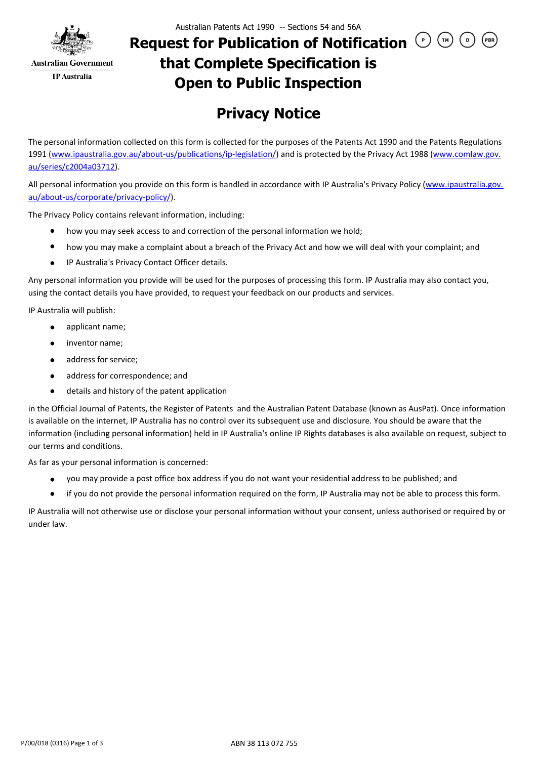

## **Request for Publication of Notification**  $\bigcirc$  $\bigcirc$  $\bigcirc$ **that Complete Specification is Open to Public Inspection**

## **Privacy Notice**

The personal information collected on this form is collected for the purposes of the Patents Act 1990 and the Patents Regulations 1991 (www.ipaustralia.gov.au/about-us/publications/ip-legislation/) and is protected by the Privacy Act 1988 (www.comlaw.gov. au/series/c2004a03712).

All personal information you provide on this form is handled in accordance with IP Australia's Privacy Policy (www.ipaustralia.gov. au/about-us/corporate/privacy-policy/).

The Privacy Policy contains relevant information, including:

- how you may seek access to and correction of the personal information we hold;  $\bullet$
- how you may make a complaint about a breach of the Privacy Act and how we will deal with your complaint; and
- IP Australia's Privacy Contact Officer details.  $\bullet$

Any personal information you provide will be used for the purposes of processing this form. IP Australia may also contact you, using the contact details you have provided, to request your feedback on our products and services.

IP Australia will publish:

- applicant name;
- $\bullet$ inventor name;
- address for service;  $\bullet$
- address for correspondence; and  $\bullet$
- details and history of the patent application  $\bullet$

in the Official Journal of Patents, the Register of Patents and the Australian Patent Database (known as AusPat). Once information is available on the internet, IP Australia has no control over its subsequent use and disclosure. You should be aware that the information (including personal information) held in IP Australia's online IP Rights databases is also available on request, subject to our terms and conditions.

As far as your personal information is concerned:

- you may provide a post office box address if you do not want your residential address to be published; and  $\bullet$
- $\bullet$ if you do not provide the personal information required on the form, IP Australia may not be able to process this form.

IP Australia will not otherwise use or disclose your personal information without your consent, unless authorised or required by or under law.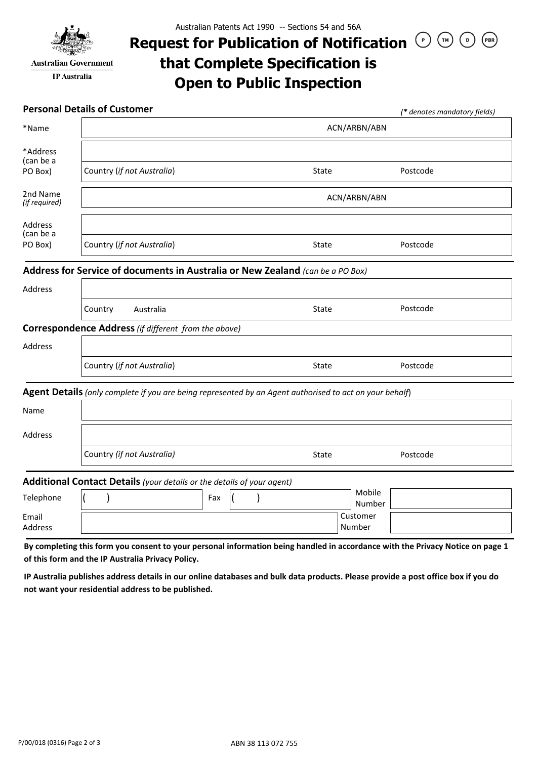

**Australian Government IP** Australia

## **Request for Publication of Notification**  $\bigcirc$  $\bigcirc$  $\bigcirc$  $(\mathsf{PBR})$ **that Complete Specification is Open to Public Inspection**

|                           | <b>Personal Details of Customer</b>                                                                     |                    | (* denotes mandatory fields) |  |  |  |  |
|---------------------------|---------------------------------------------------------------------------------------------------------|--------------------|------------------------------|--|--|--|--|
| *Name                     | ACN/ARBN/ABN                                                                                            |                    |                              |  |  |  |  |
| *Address<br>(can be a     |                                                                                                         |                    |                              |  |  |  |  |
| PO Box)                   | Country (if not Australia)                                                                              | State              | Postcode                     |  |  |  |  |
| 2nd Name<br>(if required) | ACN/ARBN/ABN                                                                                            |                    |                              |  |  |  |  |
| Address<br>(can be a      |                                                                                                         |                    |                              |  |  |  |  |
| PO Box)                   | Country (if not Australia)                                                                              | <b>State</b>       | Postcode                     |  |  |  |  |
|                           | Address for Service of documents in Australia or New Zealand (can be a PO Box)                          |                    |                              |  |  |  |  |
| Address                   |                                                                                                         |                    |                              |  |  |  |  |
|                           | Country<br>Australia                                                                                    | <b>State</b>       | Postcode                     |  |  |  |  |
|                           | Correspondence Address (if different from the above)                                                    |                    |                              |  |  |  |  |
| <b>Address</b>            |                                                                                                         |                    |                              |  |  |  |  |
|                           | Country (if not Australia)                                                                              | <b>State</b>       | Postcode                     |  |  |  |  |
|                           | Agent Details (only complete if you are being represented by an Agent authorised to act on your behalf) |                    |                              |  |  |  |  |
| Name                      |                                                                                                         |                    |                              |  |  |  |  |
| Address                   |                                                                                                         |                    |                              |  |  |  |  |
|                           | Country (if not Australia)                                                                              | <b>State</b>       | Postcode                     |  |  |  |  |
|                           | Additional Contact Details (your details or the details of your agent)                                  |                    |                              |  |  |  |  |
| Telephone                 | Fax                                                                                                     | Mobile             | Number                       |  |  |  |  |
| Email<br>Address          |                                                                                                         | Customer<br>Number |                              |  |  |  |  |

**By completing this form you consent to your personal information being handled in accordance with the Privacy Notice on page 1 of this form and the IP Australia Privacy Policy.** 

**IP Australia publishes address details in our online databases and bulk data products. Please provide a post office box if you do not want your residential address to be published.**